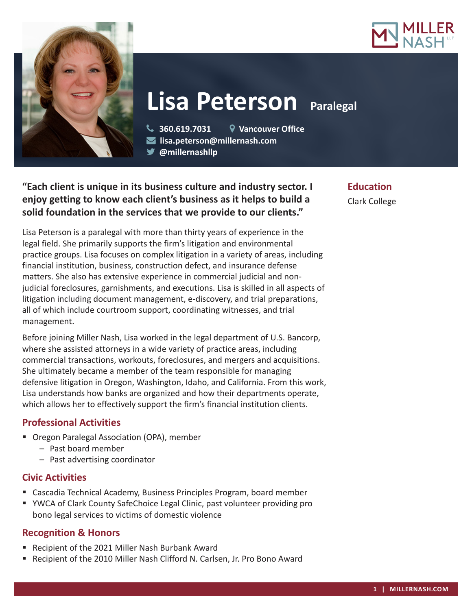



# **Lisa Peterson Paralegal**

 **360.619.7031 Vancouver Office lisa.peterson@millernash.com** 

**@millernashllp** 

## **"Each client is unique in its business culture and industry sector. I enjoy getting to know each client's business as it helps to build a solid foundation in the services that we provide to our clients."**

Lisa Peterson is a paralegal with more than thirty years of experience in the legal field. She primarily supports the firm's litigation and environmental practice groups. Lisa focuses on complex litigation in a variety of areas, including financial institution, business, construction defect, and insurance defense matters. She also has extensive experience in commercial judicial and nonjudicial foreclosures, garnishments, and executions. Lisa is skilled in all aspects of litigation including document management, e-discovery, and trial preparations, all of which include courtroom support, coordinating witnesses, and trial management.

Before joining Miller Nash, Lisa worked in the legal department of U.S. Bancorp, where she assisted attorneys in a wide variety of practice areas, including commercial transactions, workouts, foreclosures, and mergers and acquisitions. She ultimately became a member of the team responsible for managing defensive litigation in Oregon, Washington, Idaho, and California. From this work, Lisa understands how banks are organized and how their departments operate, which allows her to effectively support the firm's financial institution clients.

## **Professional Activities**

- **Oregon Paralegal Association (OPA), member** 
	- Past board member
	- Past advertising coordinator

#### **Civic Activities**

- Cascadia Technical Academy, Business Principles Program, board member
- YWCA of Clark County SafeChoice Legal Clinic, past volunteer providing pro bono legal services to victims of domestic violence

### **Recognition & Honors**

- Recipient of the 2021 Miller Nash Burbank Award
- Recipient of the 2010 Miller Nash Clifford N. Carlsen, Jr. Pro Bono Award

**Education** Clark College